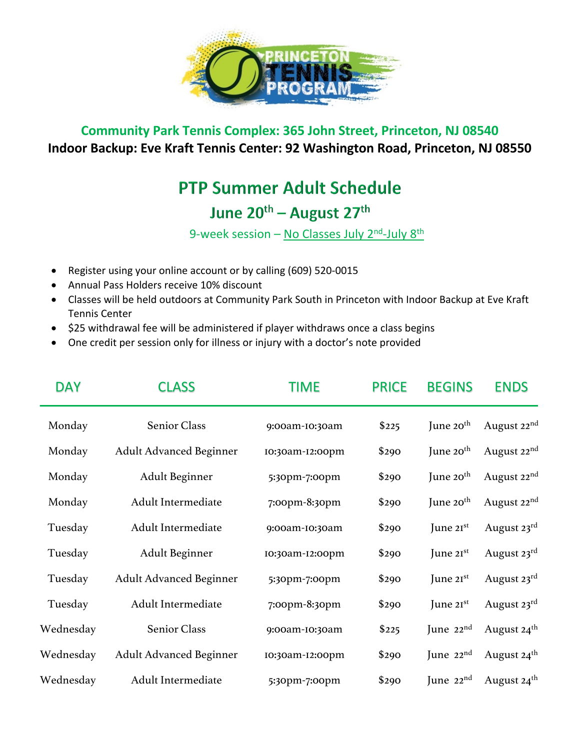

## **Community Park Tennis Complex: 365 John Street, Princeton, NJ 08540 Indoor Backup: Eve Kraft Tennis Center: 92 Washington Road, Princeton, NJ 08550**

## **PTP Summer Adult Schedule**

## June 20<sup>th</sup> – August 27<sup>th</sup>

9-week session – No Classes July  $2^{nd}$ -July  $8^{th}$ 

- Register using your online account or by calling (609) 520-0015
- Annual Pass Holders receive 10% discount
- Classes will be held outdoors at Community Park South in Princeton with Indoor Backup at Eve Kraft Tennis Center
- \$25 withdrawal fee will be administered if player withdraws once a class begins
- One credit per session only for illness or injury with a doctor's note provided

| <b>DAY</b> | <b>CLASS</b>                   | TIME            | <b>PRICE</b> | <b>BEGINS</b>         | <b>ENDS</b>             |
|------------|--------------------------------|-----------------|--------------|-----------------------|-------------------------|
| Monday     | Senior Class                   | 9:00am-I0:30am  | \$225        | June $20th$           | August 22 <sup>nd</sup> |
| Monday     | <b>Adult Advanced Beginner</b> | 10:30am-12:00pm | \$290        | June $20th$           | August 22 <sup>nd</sup> |
| Monday     | Adult Beginner                 | 5:30pm-7:00pm   | \$290        | June $20th$           | August 22 <sup>nd</sup> |
| Monday     | Adult Intermediate             | 7:00pm-8:30pm   | \$290        | June $20th$           | August 22 <sup>nd</sup> |
| Tuesday    | Adult Intermediate             | 9:00am-I0:30am  | \$290        | June $2I^{st}$        | August $23^{\text{rd}}$ |
| Tuesday    | Adult Beginner                 | 10:30am-12:00pm | \$290        | June $2I^{st}$        | August 23rd             |
| Tuesday    | <b>Adult Advanced Beginner</b> | 5:30pm-7:00pm   | \$290        | June $2I^{st}$        | August $23^{\text{rd}}$ |
| Tuesday    | Adult Intermediate             | 7:00pm-8:30pm   | \$290        | June $2I^{st}$        | August 23rd             |
| Wednesday  | Senior Class                   | 9:00am-I0:30am  | \$225        | June 22nd             | August 24 <sup>th</sup> |
| Wednesday  | <b>Adult Advanced Beginner</b> | 10:30am-12:00pm | \$290        | June $22^{\text{nd}}$ | August $24th$           |
| Wednesday  | Adult Intermediate             | 5:30pm-7:00pm   | \$290        | June $22^{\text{nd}}$ | August 24 <sup>th</sup> |